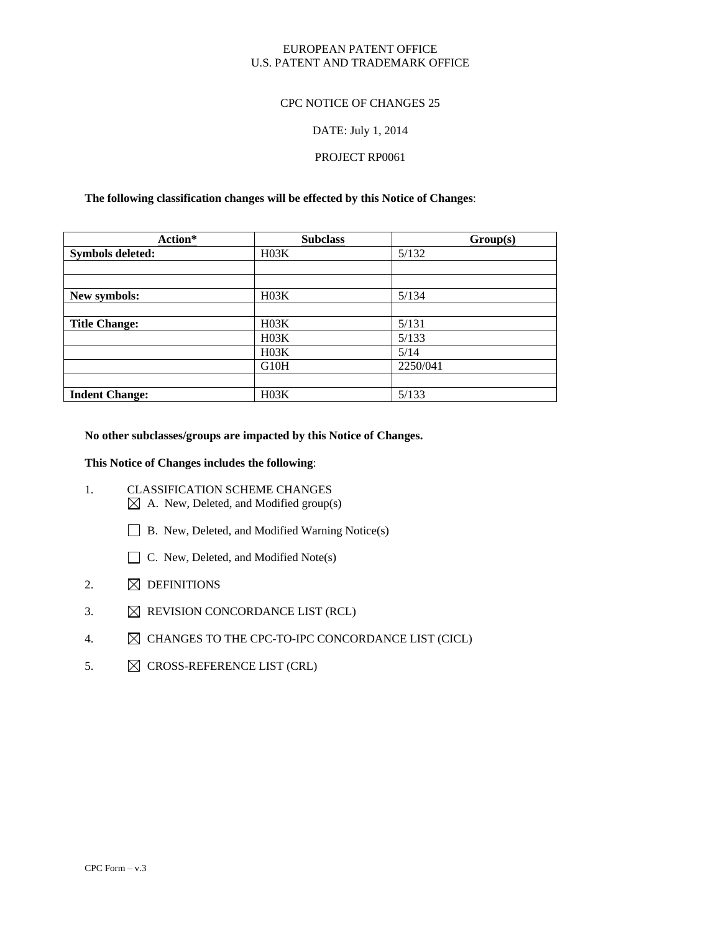### EUROPEAN PATENT OFFICE U.S. PATENT AND TRADEMARK OFFICE

## CPC NOTICE OF CHANGES 25

### DATE: July 1, 2014

### PROJECT RP0061

#### **The following classification changes will be effected by this Notice of Changes**:

| Action*                 | <b>Subclass</b>   | Group(s) |
|-------------------------|-------------------|----------|
| <b>Symbols deleted:</b> | H03K              | 5/132    |
|                         |                   |          |
|                         |                   |          |
| New symbols:            | H03K              | 5/134    |
|                         |                   |          |
| <b>Title Change:</b>    | H03K              | 5/131    |
|                         | H03K              | 5/133    |
|                         | H03K              | 5/14     |
|                         | G <sub>10</sub> H | 2250/041 |
|                         |                   |          |
| <b>Indent Change:</b>   | H03K              | 5/133    |

### **No other subclasses/groups are impacted by this Notice of Changes.**

#### **This Notice of Changes includes the following**:

- 1. CLASSIFICATION SCHEME CHANGES  $\boxtimes$  A. New, Deleted, and Modified group(s)
	- □ B. New, Deleted, and Modified Warning Notice(s)
	- $\Box$  C. New, Deleted, and Modified Note(s)
- 2.  $\boxtimes$  DEFINITIONS
- 3.  $\boxtimes$  REVISION CONCORDANCE LIST (RCL)
- 4.  $\boxtimes$  CHANGES TO THE CPC-TO-IPC CONCORDANCE LIST (CICL)
- 5.  $\boxtimes$  CROSS-REFERENCE LIST (CRL)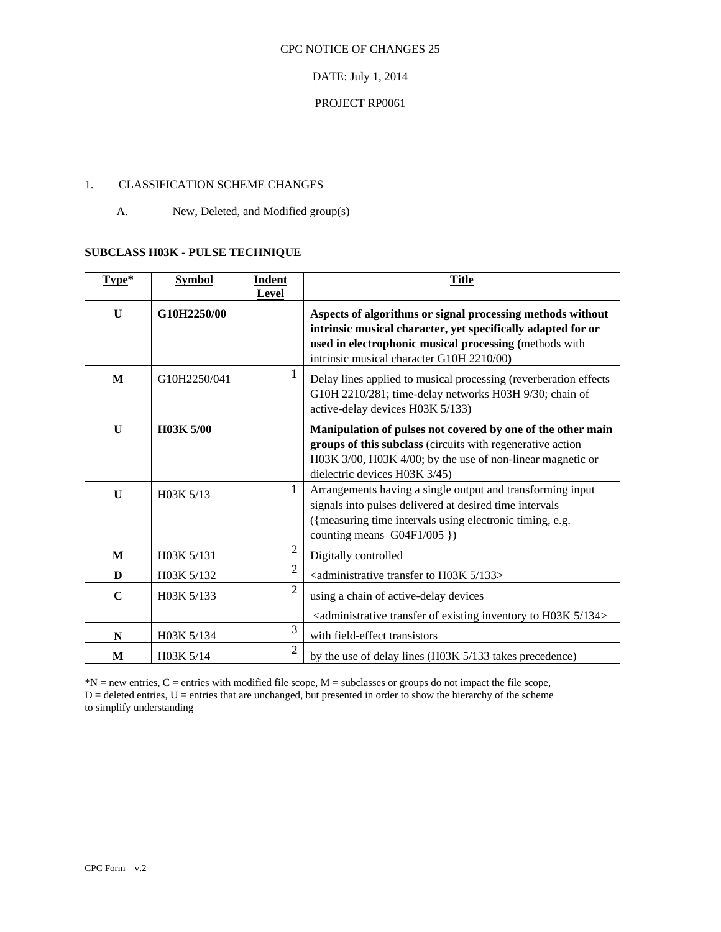### DATE: July 1, 2014

## PROJECT RP0061

## 1. CLASSIFICATION SCHEME CHANGES

### A. New, Deleted, and Modified group(s)

## **SUBCLASS H03K - PULSE TECHNIQUE**

| Type*        | <b>Symbol</b> | <b>Indent</b><br><b>Level</b> | <b>Title</b>                                                                                                                                                                                                                      |
|--------------|---------------|-------------------------------|-----------------------------------------------------------------------------------------------------------------------------------------------------------------------------------------------------------------------------------|
| $\mathbf{U}$ | G10H2250/00   |                               | Aspects of algorithms or signal processing methods without<br>intrinsic musical character, yet specifically adapted for or<br>used in electrophonic musical processing (methods with<br>intrinsic musical character G10H 2210/00) |
| M            | G10H2250/041  |                               | Delay lines applied to musical processing (reverberation effects<br>G10H 2210/281; time-delay networks H03H 9/30; chain of<br>active-delay devices H03K 5/133)                                                                    |
| $\mathbf{U}$ | H03K 5/00     |                               | Manipulation of pulses not covered by one of the other main<br>groups of this subclass (circuits with regenerative action<br>H03K 3/00, H03K 4/00; by the use of non-linear magnetic or<br>dielectric devices H03K 3/45)          |
| $\mathbf{U}$ | H03K 5/13     | 1                             | Arrangements having a single output and transforming input<br>signals into pulses delivered at desired time intervals<br>({measuring time intervals using electronic timing, e.g.<br>counting means G04F1/005 })                  |
| M            | H03K 5/131    | $\overline{2}$                | Digitally controlled                                                                                                                                                                                                              |
| D            | H03K 5/132    | $\overline{2}$                | <administrative 133="" 5="" h03k="" to="" transfer=""></administrative>                                                                                                                                                           |
| $\mathbf C$  | H03K 5/133    | $\mathfrak{D}$                | using a chain of active-delay devices<br><administrative 134="" 5="" existing="" h03k="" inventory="" of="" to="" transfer=""></administrative>                                                                                   |
| N            | H03K 5/134    | 3                             | with field-effect transistors                                                                                                                                                                                                     |
| M            | H03K 5/14     | 2                             | by the use of delay lines (H03K 5/133 takes precedence)                                                                                                                                                                           |

 $*N$  = new entries, C = entries with modified file scope, M = subclasses or groups do not impact the file scope,  $D =$  deleted entries,  $U =$  entries that are unchanged, but presented in order to show the hierarchy of the scheme to simplify understanding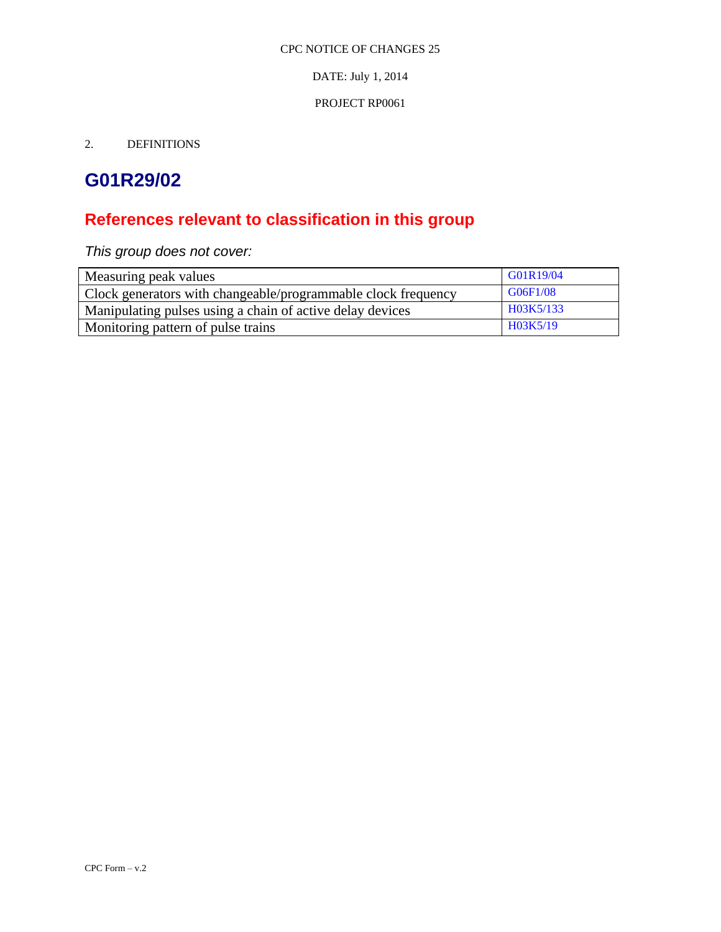DATE: July 1, 2014

### PROJECT RP0061

2. DEFINITIONS

# **G01R29/02**

# **References relevant to classification in this group**

*This group does not cover:*

| Measuring peak values                                         | GG1R19/04 |
|---------------------------------------------------------------|-----------|
| Clock generators with changeable/programmable clock frequency | G06F1/08  |
| Manipulating pulses using a chain of active delay devices     | H03K5/133 |
| Monitoring pattern of pulse trains                            | H03K5/19  |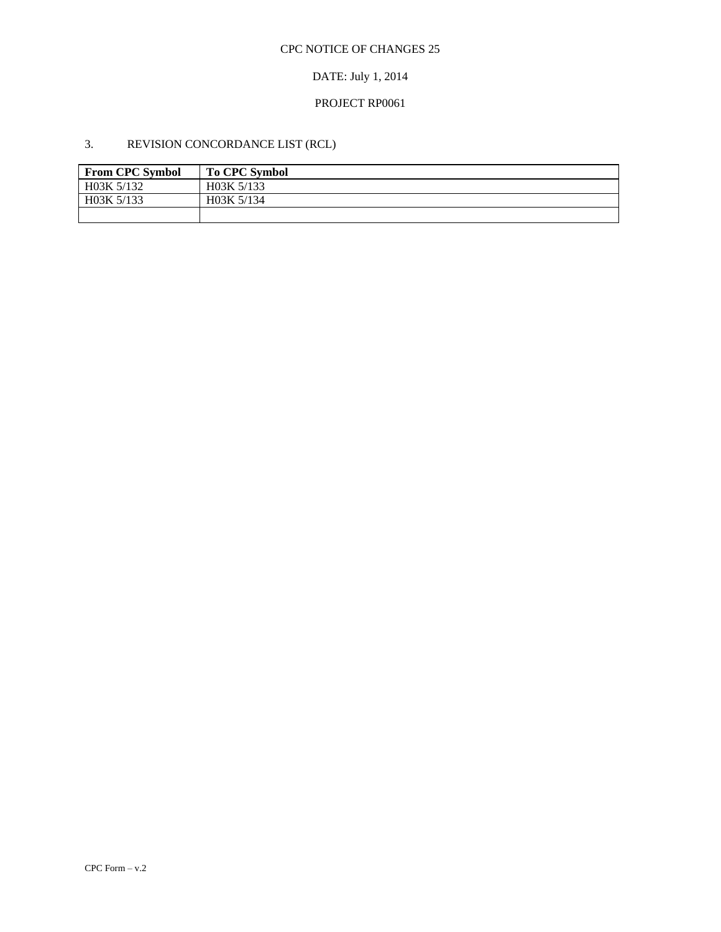# DATE: July 1, 2014

### PROJECT RP0061

# 3. REVISION CONCORDANCE LIST (RCL)

| <b>From CPC Symbol</b> | <b>To CPC Symbol</b> |
|------------------------|----------------------|
| H03K 5/132             | H03K 5/133           |
| H03K 5/133             | H03K 5/134           |
|                        |                      |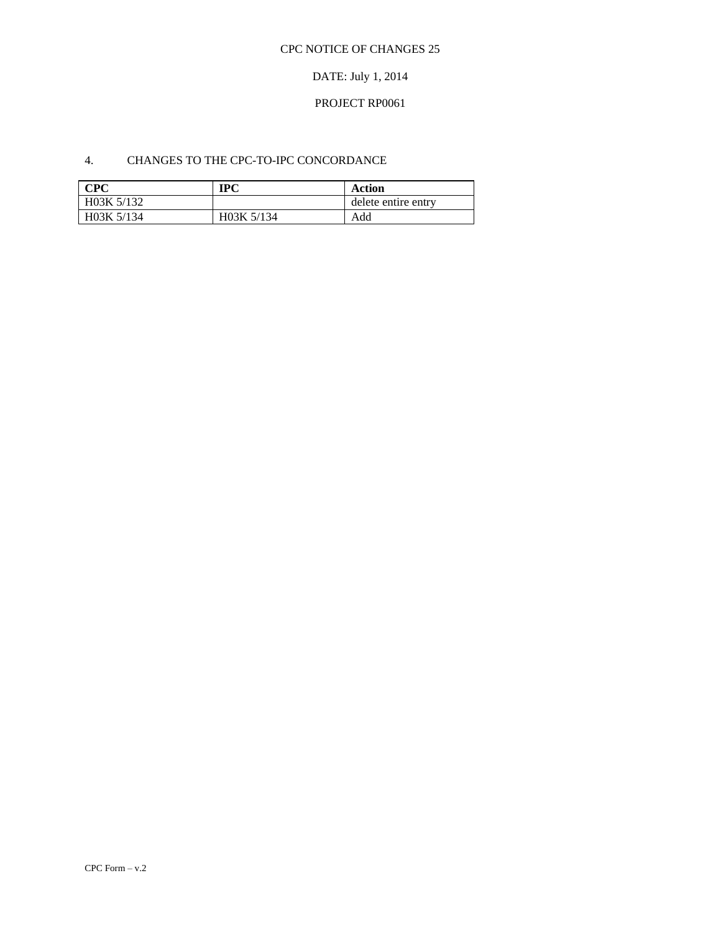# DATE: July 1, 2014

### PROJECT RP0061

## 4. CHANGES TO THE CPC-TO-IPC CONCORDANCE

| CPC        | IPC                     | Action              |
|------------|-------------------------|---------------------|
| H03K 5/132 |                         | delete entire entry |
| H03K 5/134 | H <sub>0</sub> 3K 5/134 | Add                 |